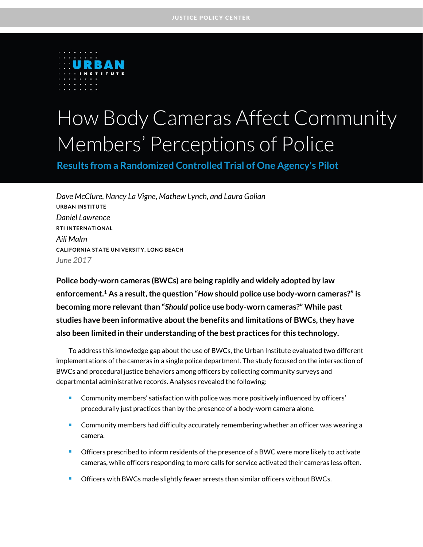

# How Body Cameras Affect Community Members' Perceptions of Police

**Results from a Randomized Controlled Trial of One Agency's Pilot**

*Dave McClure, Nancy La Vigne, Mathew Lynch, and Laura Golian* **URBAN INSTITUTE** *Daniel Lawrence* **RTI INTERNATIONAL** *Aili Malm* **CALIFORNIA STATE UNIVERSITY, LONG BEACH** *June 2017*

**Police body-worn cameras (BWCs) are being rapidly and widely adopted by law enforcement. <sup>1</sup> As a result, the question "***How* **should police use body-worn cameras?" is becoming more relevant than "***Should* **police use body-worn cameras?" While past studies have been informative about the benefits and limitations of BWCs, they have also been limited in their understanding of the best practices for this technology.**

To address this knowledge gap about the use of BWCs, the Urban Institute evaluated two different implementations of the cameras in a single police department. The study focused on the intersection of BWCs and procedural justice behaviors among officers by collecting community surveys and departmental administrative records. Analyses revealed the following:

- **Community members' satisfaction with police was more positively influenced by officers'** procedurally just practices than by the presence of a body-worn camera alone.
- Community members had difficulty accurately remembering whether an officer was wearing a camera.
- **Officers prescribed to inform residents of the presence of a BWC were more likely to activate** cameras, while officers responding to more calls for service activated their cameras less often.
- **C** Officers with BWCs made slightly fewer arrests than similar officers without BWCs.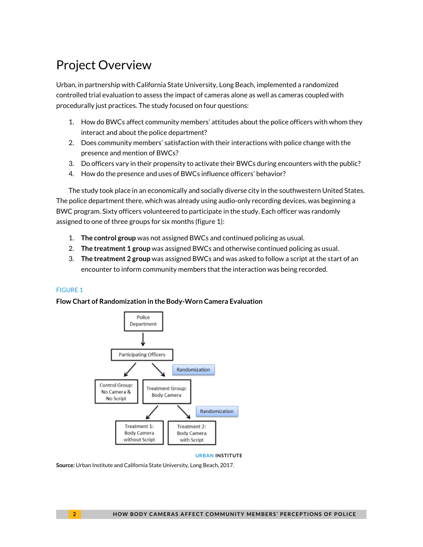# Project Overview

Urban, in partnership with California State University, Long Beach, implemented a randomized controlled trial evaluation to assess the impact of cameras alone as well as cameras coupled with procedurally just practices. The study focused on four questions:

- 1. How do BWCs affect community members' attitudes about the police officers with whom they interact and about the police department?
- 2. Does community members' satisfaction with their interactions with police change with the presence and mention of BWCs?
- 3. Do officers vary in their propensity to activate their BWCs during encounters with the public?
- 4. How do the presence and uses of BWCs influence officers' behavior?

The study took place in an economically and socially diverse city in the southwestern United States. The police department there, which was already using audio-only recording devices, was beginning a BWC program. Sixty officers volunteered to participate in the study. Each officer was randomly assigned to one of three groups for six months (figure 1):

- 1. **The control group** was not assigned BWCs and continued policing as usual.
- 2. **The treatment 1 group** was assigned BWCs and otherwise continued policing as usual.
- 3. **The treatment 2 group** was assigned BWCs and was asked to follow a script at the start of an encounter to inform community members that the interaction was being recorded.

### FIGURE 1

### **Flow Chart of Randomization in the Body-Worn Camera Evaluation**



**URBAN INSTITUTE**

**Source:** Urban Institute and California State University, Long Beach, 2017.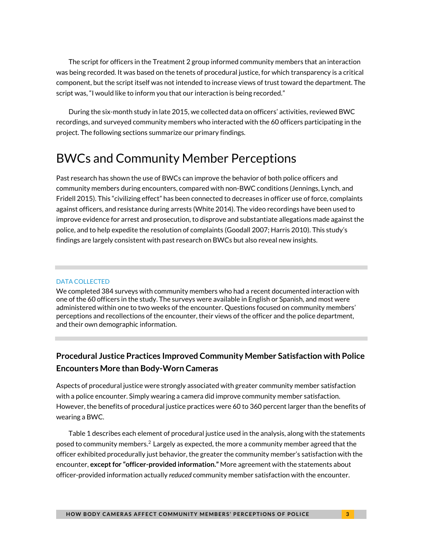The script for officers in the Treatment 2 group informed community members that an interaction was being recorded. It was based on the tenets of procedural justice, for which transparency is a critical component, but the script itself was not intended to increase views of trust toward the department. The script was, "I would like to inform you that our interaction is being recorded."

During the six-month study in late 2015, we collected data on officers' activities, reviewed BWC recordings, and surveyed community members who interacted with the 60 officers participating in the project. The following sections summarize our primary findings.

# BWCs and Community Member Perceptions

Past research has shown the use of BWCs can improve the behavior of both police officers and community members during encounters, compared with non-BWC conditions (Jennings, Lynch, and Fridell 2015). This "civilizing effect" has been connected to decreases in officer use of force, complaints against officers, and resistance during arrests (White 2014). The video recordings have been used to improve evidence for arrest and prosecution, to disprove and substantiate allegations made against the police, and to help expedite the resolution of complaints (Goodall 2007; Harris 2010). This study's findings are largely consistent with past research on BWCs but also reveal new insights.

#### DATA COLLECTED

We completed 384 surveys with community members who had a recent documented interaction with one of the 60 officers in the study. The surveys were available in English or Spanish, and most were administered within one to two weeks of the encounter. Questions focused on community members' perceptions and recollections of the encounter, their views of the officer and the police department, and their own demographic information.

### **Procedural Justice Practices Improved Community Member Satisfaction with Police Encounters More than Body-Worn Cameras**

Aspects of procedural justice were strongly associated with greater community member satisfaction with a police encounter. Simply wearing a camera did improve community member satisfaction. However, the benefits of procedural justice practices were 60 to 360 percent larger than the benefits of wearing a BWC.

Table 1 describes each element of procedural justice used in the analysis, along with the statements posed to community members. <sup>2</sup> Largely as expected, the more a community member agreed that the officer exhibited procedurally just behavior, the greater the community member's satisfaction with the encounter, **except for "officer-provided information."** More agreement with the statements about officer-provided information actually *reduced* community member satisfaction with the encounter.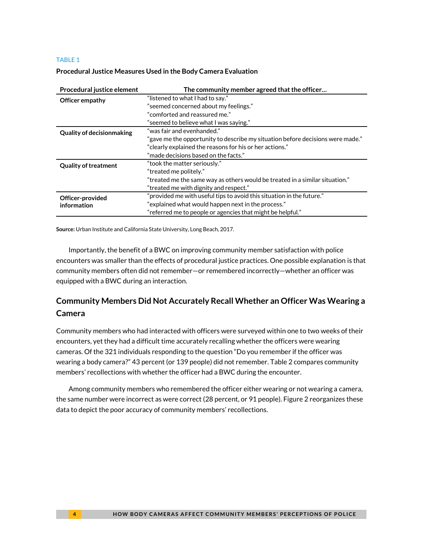#### TABLE 1

| Procedural justice element       | The community member agreed that the officer                                   |  |  |  |
|----------------------------------|--------------------------------------------------------------------------------|--|--|--|
| Officer empathy                  | "listened to what I had to say."                                               |  |  |  |
|                                  | "seemed concerned about my feelings."                                          |  |  |  |
|                                  | "comforted and reassured me."                                                  |  |  |  |
|                                  | "seemed to believe what I was saying."                                         |  |  |  |
| <b>Quality of decisionmaking</b> | "was fair and evenhanded."                                                     |  |  |  |
|                                  | "gave me the opportunity to describe my situation before decisions were made." |  |  |  |
|                                  | "clearly explained the reasons for his or her actions."                        |  |  |  |
|                                  | "made decisions based on the facts."                                           |  |  |  |
| <b>Quality of treatment</b>      | "took the matter seriously."                                                   |  |  |  |
|                                  | "treated me politely."                                                         |  |  |  |
|                                  | "treated me the same way as others would be treated in a similar situation."   |  |  |  |
|                                  | "treated me with dignity and respect."                                         |  |  |  |
| Officer-provided                 | "provided me with useful tips to avoid this situation in the future."          |  |  |  |
| information                      | "explained what would happen next in the process."                             |  |  |  |
|                                  | "referred me to people or agencies that might be helpful."                     |  |  |  |

#### **Procedural Justice Measures Used in the Body Camera Evaluation**

**Source:** Urban Institute and California State University, Long Beach, 2017.

Importantly, the benefit of a BWC on improving community member satisfaction with police encounters was smaller than the effects of procedural justice practices. One possible explanation is that community members often did not remember—or remembered incorrectly—whether an officer was equipped with a BWC during an interaction.

### **Community Members Did Not Accurately Recall Whether an Officer Was Wearing a Camera**

Community members who had interacted with officers were surveyed within one to two weeks of their encounters, yet they had a difficult time accurately recalling whether the officers were wearing cameras. Of the 321 individuals responding to the question "Do you remember if the officer was wearing a body camera?" 43 percent (or 139 people) did not remember. Table 2 compares community members' recollections with whether the officer had a BWC during the encounter.

Among community members who remembered the officer either wearing or not wearing a camera, the same number were incorrect as were correct (28 percent, or 91 people). Figure 2 reorganizes these data to depict the poor accuracy of community members' recollections.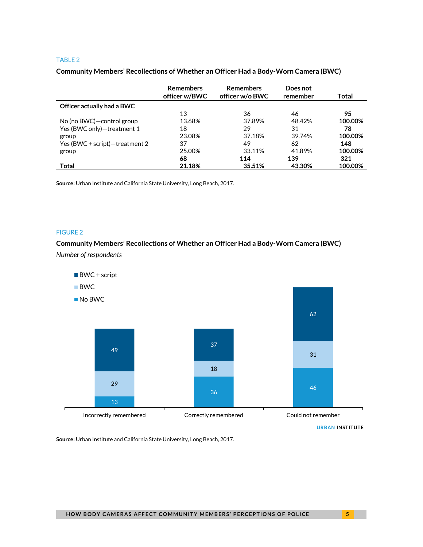#### TABLE 2

#### **Community Members' Recollections of Whether an Officer Had a Body-Worn Camera (BWC)**

|                                | <b>Remembers</b><br>officer w/BWC | <b>Remembers</b><br>officer w/o BWC | Does not<br>remember | Total   |
|--------------------------------|-----------------------------------|-------------------------------------|----------------------|---------|
| Officer actually had a BWC     |                                   |                                     |                      |         |
|                                | 13                                | 36                                  | 46                   | 95      |
| No (no BWC) – control group    | 13.68%                            | 37.89%                              | 48.42%               | 100.00% |
| Yes (BWC only)-treatment 1     | 18                                | 29                                  | 31                   | 78      |
| group                          | 23.08%                            | 37.18%                              | 39.74%               | 100.00% |
| Yes (BWC + script)-treatment 2 | 37                                | 49                                  | 62                   | 148     |
| group                          | 25.00%                            | 33.11%                              | 41.89%               | 100.00% |
|                                | 68                                | 114                                 | 139                  | 321     |
| Total                          | 21.18%                            | 35.51%                              | 43.30%               | 100.00% |

**Source:** Urban Institute and California State University, Long Beach, 2017.

### FIGURE 2

### **Community Members' Recollections of Whether an Officer Had a Body-Worn Camera (BWC)** *Number of respondents*



**URBAN INSTITUTE**

**Source:** Urban Institute and California State University, Long Beach, 2017.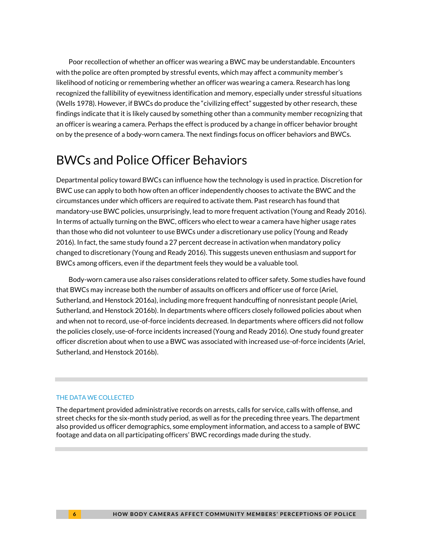Poor recollection of whether an officer was wearing a BWC may be understandable. Encounters with the police are often prompted by stressful events, which may affect a community member's likelihood of noticing or remembering whether an officer was wearing a camera. Research has long recognized the fallibility of eyewitness identification and memory, especially under stressful situations (Wells 1978). However, if BWCs do produce the "civilizing effect" suggested by other research, these findings indicate that it is likely caused by something other than a community member recognizing that an officer is wearing a camera. Perhaps the effect is produced by a change in officer behavior brought on by the presence of a body-worn camera. The next findings focus on officer behaviors and BWCs.

# BWCs and Police Officer Behaviors

Departmental policy toward BWCs can influence how the technology is used in practice. Discretion for BWC use can apply to both how often an officer independently chooses to activate the BWC and the circumstances under which officers are required to activate them. Past research has found that mandatory-use BWC policies, unsurprisingly, lead to more frequent activation (Young and Ready 2016). In terms of actually turning on the BWC, officers who elect to wear a camera have higher usage rates than those who did not volunteer to use BWCs under a discretionary use policy (Young and Ready 2016). In fact, the same study found a 27 percent decrease in activation when mandatory policy changed to discretionary (Young and Ready 2016). This suggests uneven enthusiasm and support for BWCs among officers, even if the department feels they would be a valuable tool.

Body-worn camera use also raises considerations related to officer safety. Some studies have found that BWCs may increase both the number of assaults on officers and officer use of force (Ariel, Sutherland, and Henstock 2016a), including more frequent handcuffing of nonresistant people (Ariel, Sutherland, and Henstock 2016b). In departments where officers closely followed policies about when and when not to record, use-of-force incidents decreased. In departments where officers did not follow the policies closely, use-of-force incidents increased (Young and Ready 2016). One study found greater officer discretion about when to use a BWC was associated with increased use-of-force incidents (Ariel, Sutherland, and Henstock 2016b).

#### THE DATA WE COLLECTED

The department provided administrative records on arrests, calls for service, calls with offense, and street checks for the six-month study period, as well as for the preceding three years. The department also provided us officer demographics, some employment information, and access to a sample of BWC footage and data on all participating officers' BWC recordings made during the study.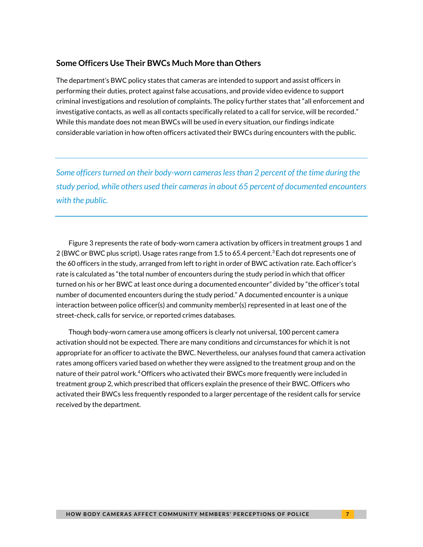### **Some Officers Use Their BWCs Much More than Others**

The department's BWC policy states that cameras are intended to support and assist officers in performing their duties, protect against false accusations, and provide video evidence to support criminal investigations and resolution of complaints. The policy further states that "all enforcement and investigative contacts, as well as all contacts specifically related to a call for service, will be recorded." While this mandate does not mean BWCs will be used in every situation, our findings indicate considerable variation in how often officers activated their BWCs during encounters with the public.

*Some officers turned on their body-worn cameras less than 2 percent of the time during the study period, while others used their cameras in about 65 percent of documented encounters with the public.*

Figure 3 represents the rate of body-worn camera activation by officers in treatment groups 1 and 2 (BWC or BWC plus script). Usage rates range from 1.5 to 65.4 percent.<sup>3</sup> Each dot represents one of the 60 officers in the study, arranged from left to right in order of BWC activation rate. Each officer's rate is calculated as "the total number of encounters during the study period in which that officer turned on his or her BWC at least once during a documented encounter" divided by "the officer's total number of documented encounters during the study period." A documented encounter is a unique interaction between police officer(s) and community member(s) represented in at least one of the street-check, calls for service, or reported crimes databases.

Though body-worn camera use among officers is clearly not universal, 100 percent camera activation should not be expected. There are many conditions and circumstances for which it is not appropriate for an officer to activate the BWC. Nevertheless, our analyses found that camera activation rates among officers varied based on whether they were assigned to the treatment group and on the nature of their patrol work.<sup>4</sup> Officers who activated their BWCs more frequently were included in treatment group 2, which prescribed that officers explain the presence of their BWC. Officers who activated their BWCs less frequently responded to a larger percentage of the resident calls for service received by the department.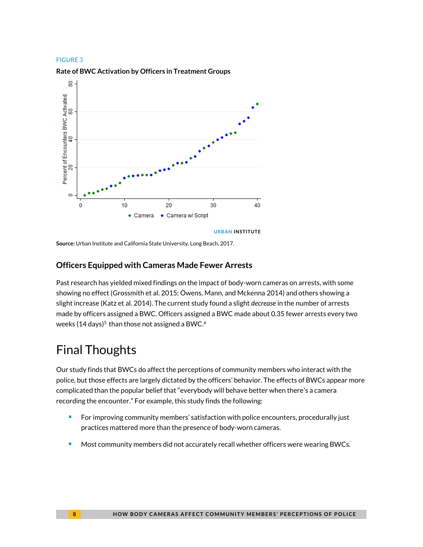#### FIGURE 3

#### **Rate of BWC Activation by Officers in Treatment Groups**



**Source:** Urban Institute and California State University, Long Beach, 2017.

### **Officers Equipped with Cameras Made Fewer Arrests**

Past research has yielded mixed findings on the impact of body-worn cameras on arrests, with some showing no effect (Grossmith et al. 2015; Owens, Mann, and Mckenna 2014) and others showing a slight increase (Katz et al. 2014). The current study found a slight *decrease* in the number of arrests made by officers assigned a BWC. Officers assigned a BWC made about 0.35 fewer arrests every two weeks (14 days) $^5$  than those not assigned a BWC. $^6$ 

# Final Thoughts

Our study finds that BWCs do affect the perceptions of community members who interact with the police, but those effects are largely dictated by the officers' behavior. The effects of BWCs appear more complicated than the popular belief that "everybody will behave better when there's a camera recording the encounter." For example, this study finds the following:

- **For improving community members' satisfaction with police encounters, procedurally just** practices mattered more than the presence of body-worn cameras.
- **Most community members did not accurately recall whether officers were wearing BWCs.**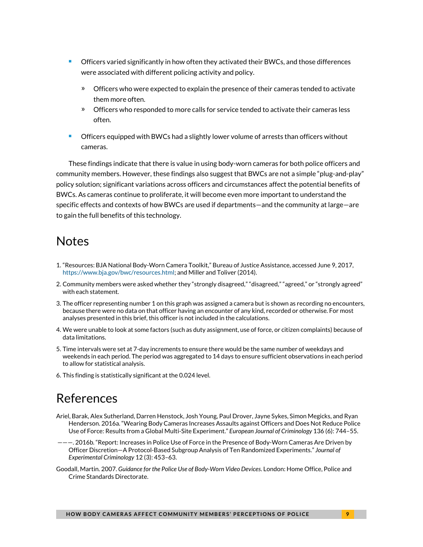- Officers varied significantly in how often they activated their BWCs, and those differences were associated with different policing activity and policy.
	- » Officers who were expected to explain the presence of their cameras tended to activate them more often.
	- » Officers who responded to more calls for service tended to activate their cameras less often.
- Officers equipped with BWCs had a slightly lower volume of arrests than officers without cameras.

These findings indicate that there is value in using body-worn cameras for both police officers and community members. However, these findings also suggest that BWCs are not a simple "plug-and-play" policy solution; significant variations across officers and circumstances affect the potential benefits of BWCs. As cameras continue to proliferate, it will become even more important to understand the specific effects and contexts of how BWCs are used if departments—and the community at large—are to gain the full benefits of this technology.

## **Notes**

- 1. "Resources: BJA National Body-Worn Camera Toolkit," Bureau of Justice Assistance, accessed June 9, 2017, [https://www.bja.gov/bwc/resources.html;](https://www.bja.gov/bwc/resources.html) and Miller and Toliver (2014).
- 2. Community members were asked whether they "strongly disagreed," "disagreed," "agreed," or "strongly agreed" with each statement.
- 3. The officer representing number 1 on this graph was assigned a camera but is shown as recording no encounters, because there were no data on that officer having an encounter of any kind, recorded or otherwise. For most analyses presented in this brief, this officer is not included in the calculations.
- 4. We were unable to look at some factors (such as duty assignment, use of force, or citizen complaints) because of data limitations.
- 5. Time intervals were set at 7-day increments to ensure there would be the same number of weekdays and weekends in each period. The period was aggregated to 14 days to ensure sufficient observations in each period to allow for statistical analysis.
- 6. This finding is statistically significant at the 0.024 level.

# References

- Ariel, Barak, Alex Sutherland, Darren Henstock, Josh Young, Paul Drover, Jayne Sykes, Simon Megicks, and Ryan Henderson. 2016a. "Wearing Body Cameras Increases Assaults against Officers and Does Not Reduce Police Use of Force: Results from a Global Multi-Site Experiment." *European Journal of Criminology* 136 (6): 744–55.
- ———. 2016b. "Report: Increases in Police Use of Force in the Presence of Body-Worn Cameras Are Driven by Officer Discretion—A Protocol-Based Subgroup Analysis of Ten Randomized Experiments." *Journal of Experimental Criminology* 12 (3): 453–63.
- Goodall, Martin. 2007. *Guidance for the Police Use of Body-Worn Video Devices*. London: Home Office, Police and Crime Standards Directorate.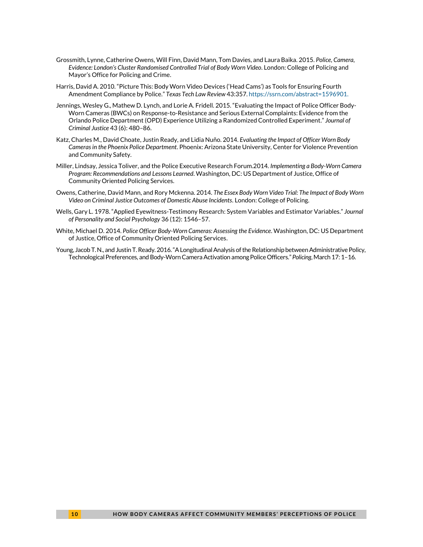- Grossmith, Lynne, Catherine Owens, Will Finn, David Mann, Tom Davies, and Laura Baika. 2015. *Police, Camera, Evidence: London's Cluster Randomised Controlled Trial of Body Worn Video*. London: College of Policing and Mayor's Office for Policing and Crime.
- Harris, David A. 2010. "Picture This: Body Worn Video Devices ('Head Cams') as Tools for Ensuring Fourth Amendment Compliance by Police." *Texas Tech Law Review* 43:357. [https://ssrn.com/abstract=1596901.](https://ssrn.com/abstract=1596901)
- Jennings, Wesley G., Mathew D. Lynch, and Lorie A. Fridell. 2015. "Evaluating the Impact of Police Officer Body-Worn Cameras (BWCs) on Response-to-Resistance and Serious External Complaints: Evidence from the Orlando Police Department (OPD) Experience Utilizing a Randomized Controlled Experiment." *Journal of Criminal Justice* 43 (6): 480–86.
- Katz, Charles M., David Choate, Justin Ready, and Lidia Nuño. 2014. *Evaluating the Impact of Officer Worn Body Cameras in the Phoenix Police Department*. Phoenix: Arizona State University, Center for Violence Prevention and Community Safety.
- Miller, Lindsay, Jessica Toliver, and the Police Executive Research Forum.2014. *Implementing a Body-Worn Camera Program: Recommendations and Lessons Learned*. Washington, DC: US Department of Justice, Office of Community Oriented Policing Services.
- Owens, Catherine, David Mann, and Rory Mckenna. 2014. *The Essex Body Worn Video Trial: The Impact of Body Worn Video on Criminal Justice Outcomes of Domestic Abuse Incidents*. London: College of Policing.
- Wells, Gary L. 1978. "Applied Eyewitness-Testimony Research: System Variables and Estimator Variables." *Journal of Personality and Social Psychology* 36 (12): 1546–57.
- White, Michael D. 2014. *Police Officer Body-Worn Cameras: Assessing the Evidence*. Washington, DC: US Department of Justice, Office of Community Oriented Policing Services.
- Young, Jacob T. N., and Justin T. Ready. 2016. "A Longitudinal Analysis of the Relationship between Administrative Policy, Technological Preferences, and Body-Worn Camera Activation among Police Officers." *Policing*, March 17: 1–16.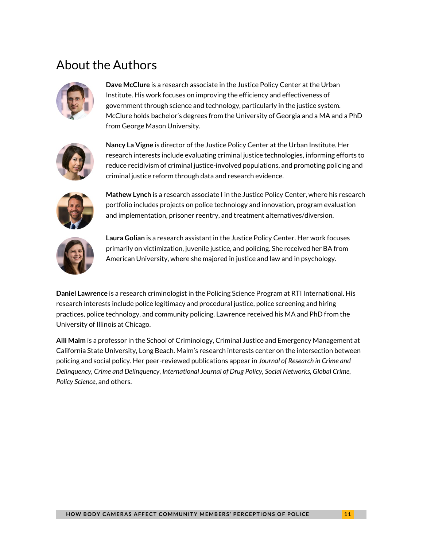# About the Authors



**Dave McClure** is a research associate in the Justice Policy Center at the Urban Institute. His work focuses on improving the efficiency and effectiveness of government through science and technology, particularly in the justice system. McClure holds bachelor's degrees from the University of Georgia and a MA and a PhD from George Mason University.



**Nancy La Vigne** is director of the Justice Policy Center at the Urban Institute. Her research interests include evaluating criminal justice technologies, informing efforts to reduce recidivism of criminal justice-involved populations, and promoting policing and criminal justice reform through data and research evidence.



**Mathew Lynch** is a research associate I in the Justice Policy Center, where his research portfolio includes projects on police technology and innovation, program evaluation and implementation, prisoner reentry, and treatment alternatives/diversion.



**Laura Golian** is a research assistant in the Justice Policy Center. Her work focuses primarily on victimization, juvenile justice, and policing. She received her BA from American University, where she majored in justice and law and in psychology.

**Daniel Lawrence** is a research criminologist in the Policing Science Program at RTI International. His research interests include police legitimacy and procedural justice, police screening and hiring practices, police technology, and community policing. Lawrence received his MA and PhD from the University of Illinois at Chicago.

**Aili Malm** is a professor in the School of Criminology, Criminal Justice and Emergency Management at California State University, Long Beach. Malm's research interests center on the intersection between policing and social policy. Her peer-reviewed publications appear in *Journal of Research in Crime and Delinquency, Crime and Delinquency, International Journal of Drug Policy, Social Networks, Global Crime, Policy Science*, and others.